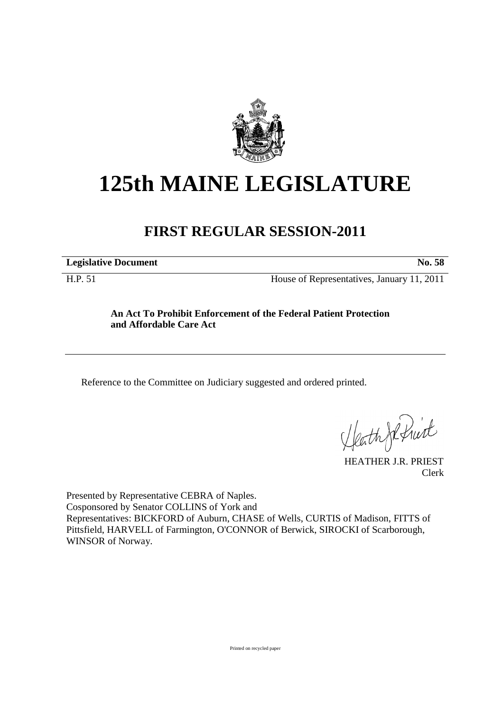

## **125th MAINE LEGISLATURE**

## **FIRST REGULAR SESSION-2011**

**Legislative Document No. 58** 

H.P. 51 House of Representatives, January 11, 2011

## **An Act To Prohibit Enforcement of the Federal Patient Protection and Affordable Care Act**

Reference to the Committee on Judiciary suggested and ordered printed.

Heath Je Pruit

Clerk

Presented by Representative CEBRA of Naples. Cosponsored by Senator COLLINS of York and Representatives: BICKFORD of Auburn, CHASE of Wells, CURTIS of Madison, FITTS of Pittsfield, HARVELL of Farmington, O'CONNOR of Berwick, SIROCKI of Scarborough, WINSOR of Norway.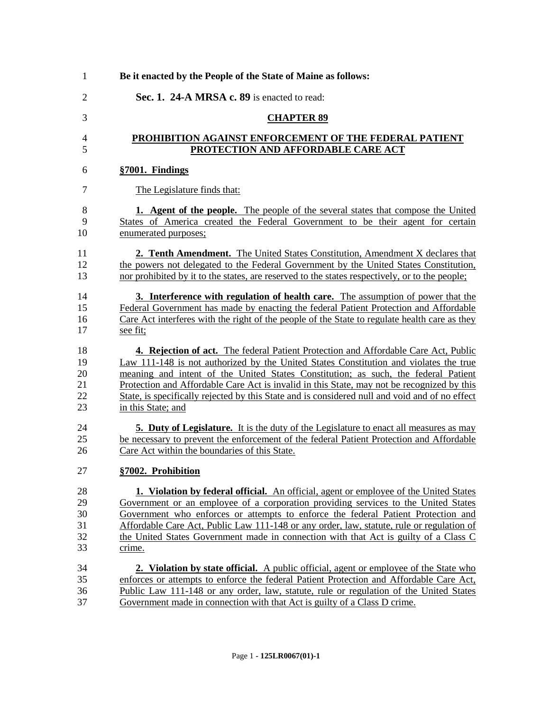| $\mathbf{1}$   | Be it enacted by the People of the State of Maine as follows:                                  |
|----------------|------------------------------------------------------------------------------------------------|
| $\overline{2}$ | Sec. 1. 24-A MRSA c. 89 is enacted to read:                                                    |
| 3              | <b>CHAPTER 89</b>                                                                              |
| $\overline{4}$ | PROHIBITION AGAINST ENFORCEMENT OF THE FEDERAL PATIENT                                         |
| 5              | PROTECTION AND AFFORDABLE CARE ACT                                                             |
| 6              | §7001. Findings                                                                                |
| $\overline{7}$ | The Legislature finds that:                                                                    |
| 8              | <b>1.</b> Agent of the people. The people of the several states that compose the United        |
| 9              | States of America created the Federal Government to be their agent for certain                 |
| 10             | enumerated purposes;                                                                           |
| 11             | 2. Tenth Amendment. The United States Constitution, Amendment X declares that                  |
| 12             | the powers not delegated to the Federal Government by the United States Constitution,          |
| 13             | nor prohibited by it to the states, are reserved to the states respectively, or to the people; |
| 14             | <b>3.</b> Interference with regulation of health care. The assumption of power that the        |
| 15             | Federal Government has made by enacting the federal Patient Protection and Affordable          |
| 16             | Care Act interferes with the right of the people of the State to regulate health care as they  |
| 17             | see fit;                                                                                       |
| 18             | 4. Rejection of act. The federal Patient Protection and Affordable Care Act, Public            |
| 19             | Law 111-148 is not authorized by the United States Constitution and violates the true          |
| 20             | meaning and intent of the United States Constitution; as such, the federal Patient             |
| 21             | Protection and Affordable Care Act is invalid in this State, may not be recognized by this     |
| 22             | State, is specifically rejected by this State and is considered null and void and of no effect |
| 23             | in this State; and                                                                             |
| 24             | <b>5. Duty of Legislature.</b> It is the duty of the Legislature to enact all measures as may  |
| 25             | be necessary to prevent the enforcement of the federal Patient Protection and Affordable       |
| 26             | Care Act within the boundaries of this State.                                                  |
| 27             | §7002. Prohibition                                                                             |
| 28             | 1. Violation by federal official. An official, agent or employee of the United States          |
| 29             | Government or an employee of a corporation providing services to the United States             |
| 30             | Government who enforces or attempts to enforce the federal Patient Protection and              |
| 31             | Affordable Care Act, Public Law 111-148 or any order, law, statute, rule or regulation of      |
| 32             | the United States Government made in connection with that Act is guilty of a Class C           |
| 33             | crime.                                                                                         |
| 34             | <b>2. Violation by state official.</b> A public official, agent or employee of the State who   |
| 35             | enforces or attempts to enforce the federal Patient Protection and Affordable Care Act,        |
| 36             | Public Law 111-148 or any order, law, statute, rule or regulation of the United States         |
| 37             | Government made in connection with that Act is guilty of a Class D crime.                      |